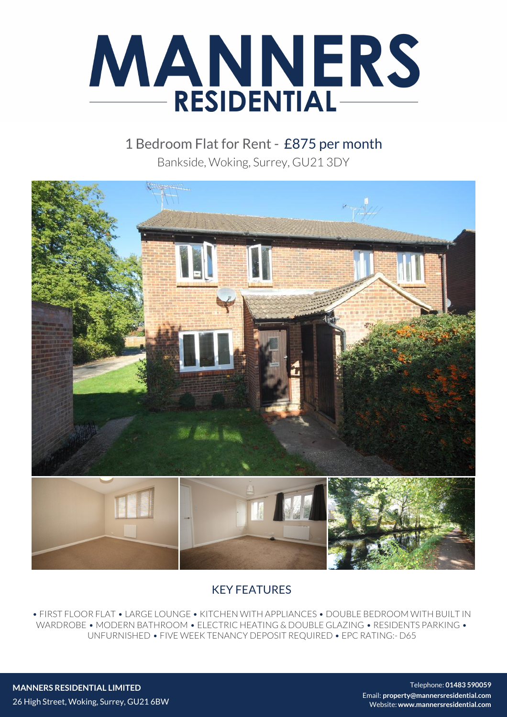

1 Bedroom Flat for Rent - £875 per month Bankside, Woking, Surrey, GU21 3DY



## KEY FEATURES

• FIRST FLOOR FLAT • LARGE LOUNGE • KITCHEN WITH APPLIANCES • DOUBLE BEDROOM WITH BUILT IN WARDROBE • MODERN BATHROOM • ELECTRIC HEATING & DOUBLE GLAZING • RESIDENTS PARKING • UNFURNISHED • FIVE WEEK TENANCY DEPOSIT REQUIRED • EPC RATING:- D65

**MANNERS RESIDENTIAL LIMITED** 26 High Street, Woking, Surrey, GU21 6BW

Telephone: **01483 590059** Email: **property@mannersresidential.com** Website: **www.mannersresidential.com**